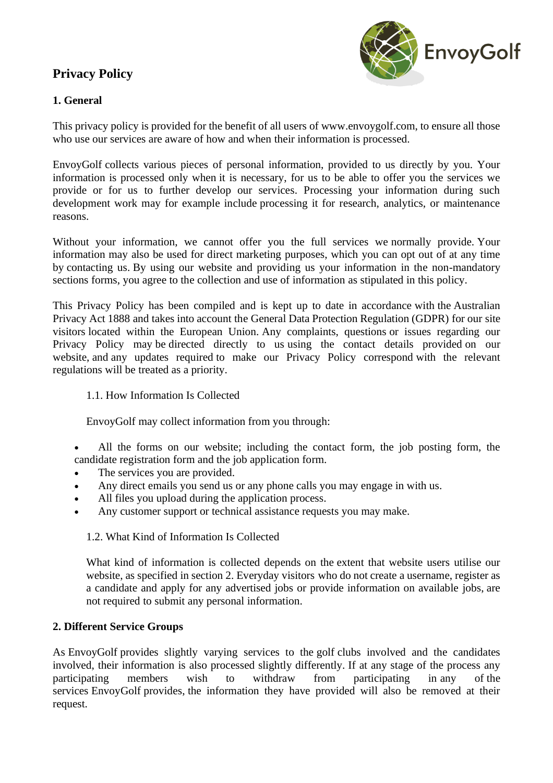# **Privacy Policy**



# **1. General**

This privacy policy is provided for the benefit of all users of www.envoygolf.com, to ensure all those who use our services are aware of how and when their information is processed.

EnvoyGolf collects various pieces of personal information, provided to us directly by you. Your information is processed only when it is necessary, for us to be able to offer you the services we provide or for us to further develop our services. Processing your information during such development work may for example include processing it for research, analytics, or maintenance reasons.

Without your information, we cannot offer you the full services we normally provide. Your information may also be used for direct marketing purposes, which you can opt out of at any time by contacting us. By using our website and providing us your information in the non-mandatory sections forms, you agree to the collection and use of information as stipulated in this policy.

This Privacy Policy has been compiled and is kept up to date in accordance with the Australian Privacy Act 1888 and takes into account the General Data Protection Regulation (GDPR) for our site visitors located within the European Union. Any complaints, questions or issues regarding our Privacy Policy may be directed directly to us using the contact details provided on our website, and any updates required to make our Privacy Policy correspond with the relevant regulations will be treated as a priority.

## 1.1. How Information Is Collected

EnvoyGolf may collect information from you through:

• All the forms on our website; including the contact form, the job posting form, the candidate registration form and the job application form.

- The services you are provided.
- Any direct emails you send us or any phone calls you may engage in with us.
- All files you upload during the application process.
- Any customer support or technical assistance requests you may make.

## 1.2. What Kind of Information Is Collected

What kind of information is collected depends on the extent that website users utilise our website, as specified in section 2. Everyday visitors who do not create a username, register as a candidate and apply for any advertised jobs or provide information on available jobs, are not required to submit any personal information.

## **2. Different Service Groups**

As EnvoyGolf provides slightly varying services to the golf clubs involved and the candidates involved, their information is also processed slightly differently. If at any stage of the process any participating members wish to withdraw from participating in any of the services EnvoyGolf provides, the information they have provided will also be removed at their request.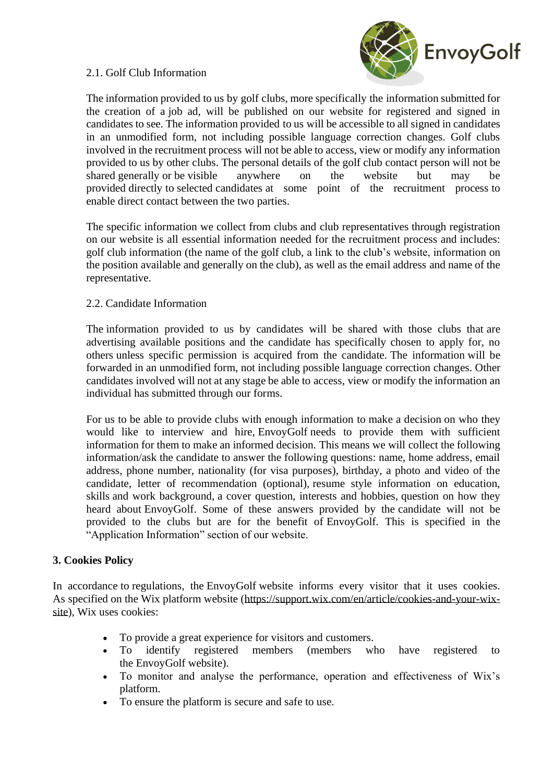## 2.1. Golf Club Information



The information provided to us by golf clubs, more specifically the information submitted for the creation of a job ad, will be published on our website for registered and signed in candidates to see. The information provided to us will be accessible to all signed in candidates in an unmodified form, not including possible language correction changes. Golf clubs involved in the recruitment process will not be able to access, view or modify any information provided to us by other clubs. The personal details of the golf club contact person will not be shared generally or be visible anywhere on the website but may be provided directly to selected candidates at some point of the recruitment process to enable direct contact between the two parties.

The specific information we collect from clubs and club representatives through registration on our website is all essential information needed for the recruitment process and includes: golf club information (the name of the golf club, a link to the club's website, information on the position available and generally on the club), as well as the email address and name of the representative.

#### 2.2. Candidate Information

The information provided to us by candidates will be shared with those clubs that are advertising available positions and the candidate has specifically chosen to apply for, no others unless specific permission is acquired from the candidate. The information will be forwarded in an unmodified form, not including possible language correction changes. Other candidates involved will not at any stage be able to access, view or modify the information an individual has submitted through our forms.

For us to be able to provide clubs with enough information to make a decision on who they would like to interview and hire, EnvoyGolf needs to provide them with sufficient information for them to make an informed decision. This means we will collect the following information/ask the candidate to answer the following questions: name, home address, email address, phone number, nationality (for visa purposes), birthday, a photo and video of the candidate, letter of recommendation (optional), resume style information on education, skills and work background, a cover question, interests and hobbies, question on how they heard about EnvoyGolf. Some of these answers provided by the candidate will not be provided to the clubs but are for the benefit of EnvoyGolf. This is specified in the "Application Information" section of our website.

#### **3. Cookies Policy**

In accordance to regulations, the EnvoyGolf website informs every visitor that it uses cookies. As specified on the Wix platform website [\(https://support.wix.com/en/article/cookies-and-your-wix](https://support.wix.com/en/article/cookies-and-your-wix-site)[site\)](https://support.wix.com/en/article/cookies-and-your-wix-site), Wix uses cookies:

- To provide a great experience for visitors and customers.
- To identify registered members (members who have registered to the EnvoyGolf website).
- To monitor and analyse the performance, operation and effectiveness of Wix's platform.
- To ensure the platform is secure and safe to use.